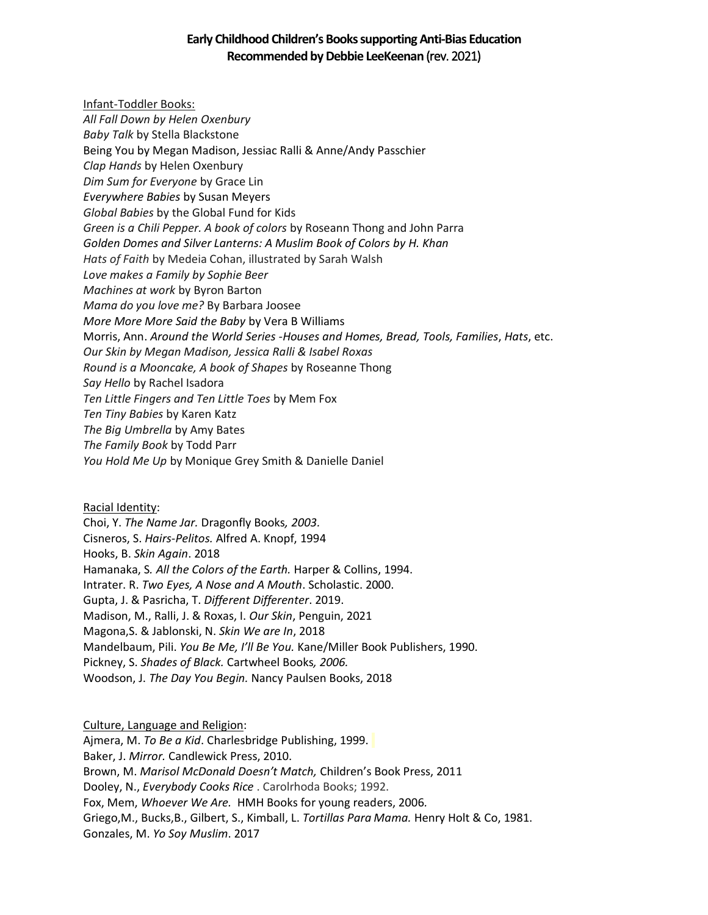# **Early Childhood Children's Books supporting Anti-Bias Education Recommended by Debbie LeeKeenan** (rev. 2021)

Infant-Toddler Books: *All Fall Down by Helen Oxenbury Baby Talk* by Stella Blackstone Being You by Megan Madison, Jessiac Ralli & Anne/Andy Passchier *Clap Hands* by Helen Oxenbury *Dim Sum for Everyone* by Grace Lin *Everywhere Babies* by Susan Meyers *Global Babies* by the Global Fund for Kids *Green is a Chili Pepper. A book of colors* by Roseann Thong and John Parra *Golden Domes and Silver Lanterns: A Muslim Book of Colors by H. Khan Hats of Faith* by Medeia Cohan, illustrated by Sarah Walsh *Love makes a Family by Sophie Beer Machines at work* by Byron Barton *Mama do you love me?* By Barbara Joosee *More More More Said the Baby* by Vera B Williams Morris, Ann. *Around the World Series -Houses and Homes, Bread, Tools, Families*, *Hats*, etc. *Our Skin by Megan Madison, Jessica Ralli & Isabel Roxas Round is a Mooncake, A book of Shapes* by Roseanne Thong *Say Hello* by Rachel Isadora *Ten Little Fingers and Ten Little Toes* by Mem Fox *Ten Tiny Babies* by Karen Katz *The Big Umbrella* by Amy Bates *The Family Book* by Todd Parr *You Hold Me Up* by Monique Grey Smith & Danielle Daniel

Racial Identity: Choi, Y. *The Name Jar.* Dragonfly Books*, 2003.* Cisneros, S. *Hairs-Pelitos.* Alfred A. Knopf, 1994 Hooks, B. *Skin Again*. 2018 Hamanaka, S*. All the Colors of the Earth.* Harper & Collins, 1994. Intrater. R. *Two Eyes, A Nose and A Mouth*. Scholastic. 2000. Gupta, J. & Pasricha, T. *Different Differenter*. 2019. Madison, M., Ralli, J. & Roxas, I. *Our Skin*, Penguin, 2021 Magona,S. & Jablonski, N. *Skin We are In*, 2018 Mandelbaum, Pili. *You Be Me, I'll Be You.* Kane/Miller Book Publishers, 1990. Pickney, S. *Shades of Black.* Cartwheel Books*, 2006.* Woodson, J. *The Day You Begin.* Nancy Paulsen Books, 2018

Culture, Language and Religion: Ajmera, M. *To Be a Kid*. Charlesbridge Publishing, 1999. Baker, J. *Mirror.* Candlewick Press, 2010. Brown, M. *Marisol McDonald Doesn't Match,* Children's Book Press, 2011 Dooley, N., *Everybody Cooks Rice* . Carolrhoda Books; 1992. Fox, Mem, *Whoever We Are.* HMH Books for young readers, 2006*.* Griego,M., Bucks,B., Gilbert, S., Kimball, L. *Tortillas Para Mama.* Henry Holt & Co, 1981. Gonzales, M. *Yo Soy Muslim*. 2017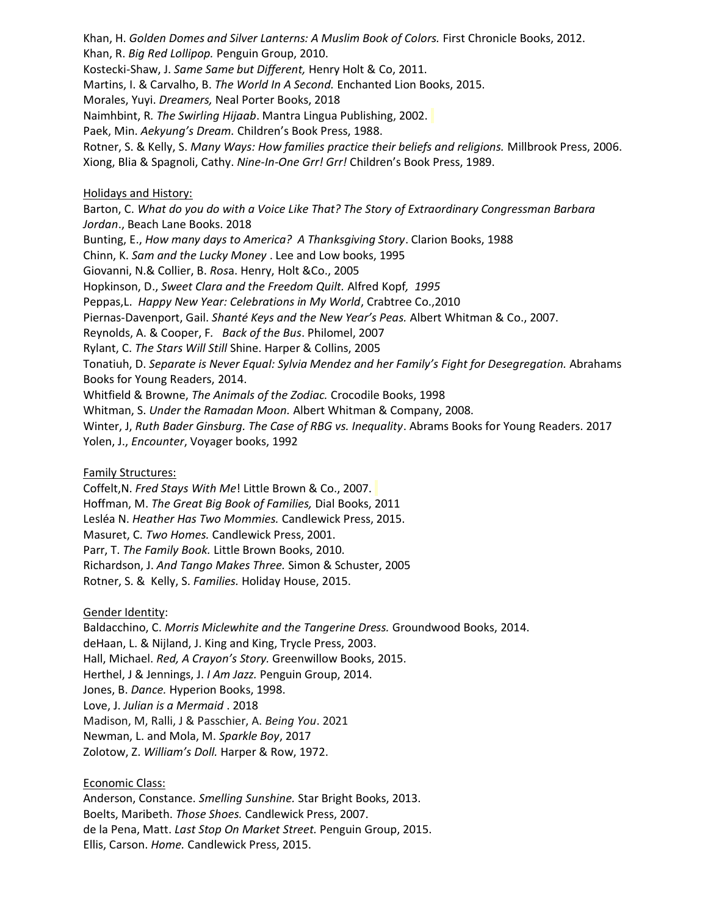Khan, H. *Golden Domes and Silver Lanterns: A Muslim Book of Colors.* First Chronicle Books, 2012. Khan, R. *Big Red Lollipop.* Penguin Group, 2010. Kostecki-Shaw, J. *Same Same but Different,* Henry Holt & Co, 2011. Martins, I. & Carvalho, B. *The World In A Second.* Enchanted Lion Books, 2015. Morales, Yuyi. *Dreamers,* Neal Porter Books, 2018 Naimhbint, R*. The Swirling Hijaab*. Mantra Lingua Publishing, 2002. Paek, Min. *Aekyung's Dream.* Children's Book Press, 1988. Rotner, S. & Kelly, S. *Many Ways: How families practice their beliefs and religions.* Millbrook Press, 2006. Xiong, Blia & Spagnoli, Cathy. *Nine-In-One Grr! Grr!* Children's Book Press, 1989.

Holidays and History:

Barton, C. *What do you do with a Voice Like That? The Story of Extraordinary Congressman Barbara Jordan*., Beach Lane Books. 2018 Bunting, E., *How many days to America? A Thanksgiving Story*. Clarion Books, 1988 Chinn, K. *Sam and the Lucky Money* . Lee and Low books, 1995 Giovanni, N.& Collier, B. *Ros*a. Henry, Holt &Co., 2005 Hopkinson, D., *Sweet Clara and the Freedom Quilt.* Alfred Kopf*, 1995* Peppas,L. *Happy New Year: Celebrations in My World*, Crabtree Co.,2010 Piernas-Davenport, Gail. *Shanté Keys and the New Year's Peas.* Albert Whitman & Co., 2007. Reynolds, A. & Cooper, F*. Back of the Bus*. Philomel, 2007 Rylant, C. *The Stars Will Still* Shine. Harper & Collins, 2005 Tonatiuh, D. *Separate is Never Equal: Sylvia Mendez and her Family's Fight for Desegregation.* Abrahams Books for Young Readers, 2014. Whitfield & Browne, *The Animals of the Zodiac.* Crocodile Books, 1998 Whitman, S. *Under the Ramadan Moon.* Albert Whitman & Company, 2008. Winter, J, *Ruth Bader Ginsburg. The Case of RBG vs. Inequality*. Abrams Books for Young Readers. 2017 Yolen, J., *Encounter*, Voyager books, 1992

#### Family Structures:

Coffelt,N. *Fred Stays With Me*! Little Brown & Co., 2007. Hoffman, M. *The Great Big Book of Families,* Dial Books, 2011 Lesléa N. *Heather Has Two Mommies.* Candlewick Press, 2015. Masuret, C*. Two Homes.* Candlewick Press, 2001. Parr, T. *The Family Book.* Little Brown Books, 2010. Richardson, J. *And Tango Makes Three.* Simon & Schuster, 2005 Rotner, S. & Kelly, S. *Families.* Holiday House, 2015.

#### Gender Identity:

Baldacchino, C. *Morris Miclewhite and the Tangerine Dress.* Groundwood Books, 2014. deHaan, L. & Nijland, J. King and King, Trycle Press, 2003. Hall, Michael. *Red, A Crayon's Story.* Greenwillow Books, 2015. Herthel, J & Jennings, J. *I Am Jazz.* Penguin Group, 2014. Jones, B. *Dance.* Hyperion Books, 1998. Love, J. *Julian is a Mermaid* . 2018 Madison, M, Ralli, J & Passchier, A. *Being You*. 2021 Newman, L. and Mola, M. *Sparkle Boy*, 2017 Zolotow, Z. *William's Doll.* Harper & Row, 1972.

#### Economic Class:

Anderson, Constance. *Smelling Sunshine.* Star Bright Books, 2013. Boelts, Maribeth. *Those Shoes.* Candlewick Press, 2007. de la Pena, Matt. *Last Stop On Market Street.* Penguin Group, 2015. Ellis, Carson. *Home.* Candlewick Press, 2015.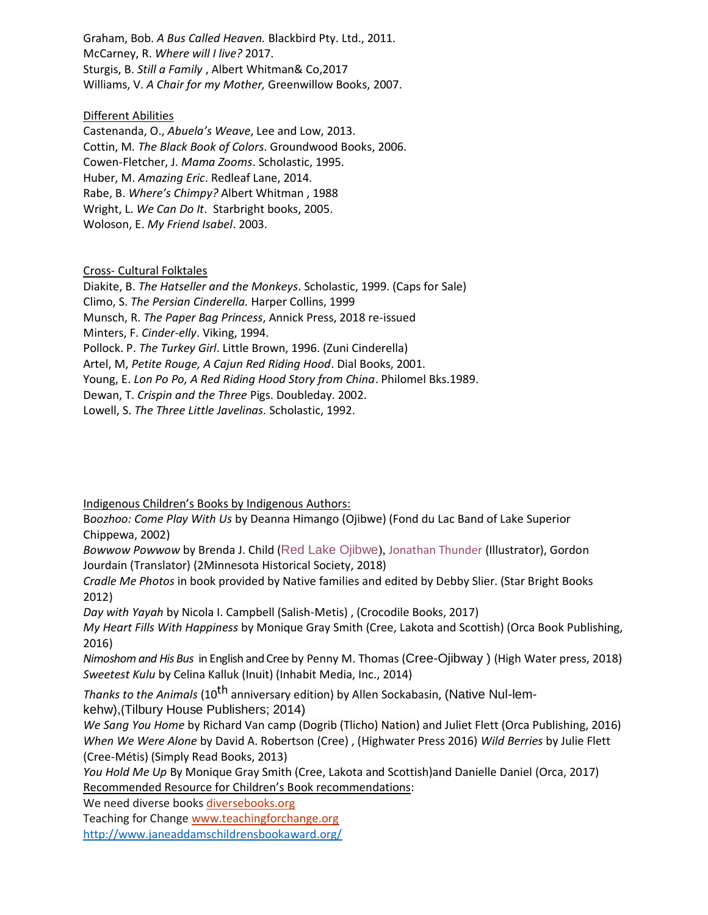Graham, Bob. *A Bus Called Heaven.* Blackbird Pty. Ltd., 2011. McCarney, R. *Where will I live?* 2017. Sturgis, B. *Still a Family* , Albert Whitman& Co,2017 Williams, V. *A Chair for my Mother,* Greenwillow Books, 2007.

### Different Abilities

Castenanda, O., *Abuela's Weave*, Lee and Low, 2013. Cottin, M*. The Black Book of Colors*. Groundwood Books, 2006. Cowen-Fletcher, J. *Mama Zooms*. Scholastic, 1995. Huber, M. *Amazing Eric*. Redleaf Lane, 2014. Rabe, B. *Where's Chimpy?* Albert Whitman , 1988 Wright, L. *We Can Do It*. Starbright books, 2005. Woloson, E. *My Friend Isabel*. 2003.

### Cross- Cultural Folktales

Diakite, B. *The Hatseller and the Monkeys*. Scholastic, 1999. (Caps for Sale) Climo, S. *The Persian Cinderella.* Harper Collins, 1999 Munsch, R. *The Paper Bag Princess*, Annick Press, 2018 re-issued Minters, F. *Cinder-elly*. Viking, 1994. Pollock. P. *The Turkey Girl*. Little Brown, 1996. (Zuni Cinderella) Artel, M, *Petite Rouge, A Cajun Red Riding Hood*. Dial Books, 2001. Young, E. *Lon Po Po, A Red Riding Hood Story from China*. Philomel Bks.1989. Dewan, T. *Crispin and the Three* Pigs. Doubleday. 2002. Lowell, S. *The Three Little Javelinas.* Scholastic, 1992.

Indigenous Children's Books by Indigenous Authors:

B*oozhoo: Come Play With Us* by Deanna Himango (Ojibwe) (Fond du Lac Band of Lake Superior Chippewa, 2002)

*Bowwow Powwow* by Brenda J. Child (Red Lake Ojibwe), Jonathan Thunder (Illustrator), Gordon Jourdain (Translator) (2Minnesota Historical Society, 2018)

*Cradle Me Photos* in book provided by Native families and edited by Debby Slier. (Star Bright Books 2012)

*Day with Yayah* by Nicola I. Campbell (Salish-Metis) , (Crocodile Books, 2017)

*My Heart Fills With Happiness* by Monique Gray Smith (Cree, Lakota and Scottish) (Orca Book Publishing, 2016)

*Nimoshom and His Bus* in English and Cree by [Penny M. Thomas](https://www.powells.com/SearchResults?keyword=Penny+M+Thomas) (Cree-Ojibway ) (High Water press, 2018) *Sweetest Kulu* by Celina Kalluk (Inuit) (Inhabit Media, Inc., 2014)

*Thanks to the Animals* (10<sup>th</sup> anniversary edition) by Allen Sockabasin, (Native Nul-lemkehw),(Tilbury House Publishers; 2014)

*We Sang You Home* by Richard Van camp (Dogrib (Tlicho) Nation) and Juliet Flett (Orca Publishing, 2016) *When We Were Alone* by David A. Robertson (Cree) , (Highwater Press 2016) *Wild Berries* by Julie Flett (Cree-Métis) (Simply Read Books, 2013)

*You Hold Me Up* By Monique Gray Smith (Cree, Lakota and Scottish)and Danielle Daniel (Orca, 2017) Recommended Resource for Children's Book recommendations:

We need diverse books [diversebooks.org](https://diversebooks.org/resources/where-to-find-diverse-books/)

Teaching for Change [www.teachingforchange.org](http://www.teachingforchange.org/) <http://www.janeaddamschildrensbookaward.org/>